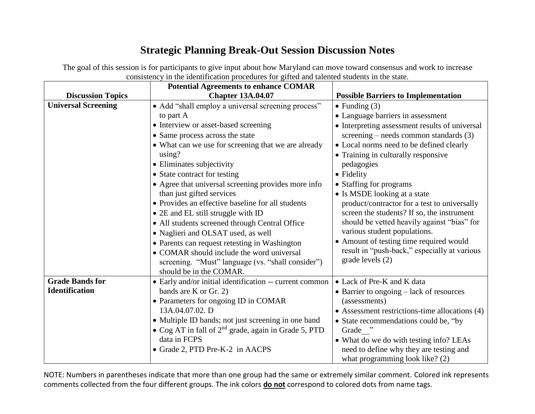## **Strategic Planning Break-Out Session Discussion Notes**

The goal of this session is for participants to give input about how Maryland can move toward consensus and work to increase consistency in the identification procedures for gifted and talented students in the state.

|                            | <b>Potential Agreements to enhance COMAR</b>                     |                                                    |
|----------------------------|------------------------------------------------------------------|----------------------------------------------------|
| <b>Discussion Topics</b>   | <b>Chapter 13A.04.07</b>                                         | <b>Possible Barriers to Implementation</b>         |
| <b>Universal Screening</b> | • Add "shall employ a universal screening process"               | $\bullet$ Funding (3)                              |
|                            | to part A                                                        | • Language barriers in assessment                  |
|                            | • Interview or asset-based screening                             | • Interpreting assessment results of universal     |
|                            | • Same process across the state                                  | screening – needs common standards $(3)$           |
|                            | • What can we use for screening that we are already              | • Local norms need to be defined clearly           |
|                            | using?                                                           | • Training in culturally responsive                |
|                            | • Eliminates subjectivity                                        | pedagogies                                         |
|                            | • State contract for testing                                     | • Fidelity                                         |
|                            | • Agree that universal screening provides more info              | • Staffing for programs                            |
|                            | than just gifted services                                        | • Is MSDE looking at a state                       |
|                            | • Provides an effective baseline for all students                | product/contractor for a test to universally       |
|                            | • 2E and EL still struggle with ID                               | screen the students? If so, the instrument         |
|                            | • All students screened through Central Office                   | should be vetted heavily against "bias" for        |
|                            | • Naglieri and OLSAT used, as well                               | various student populations.                       |
|                            | • Parents can request retesting in Washington                    | • Amount of testing time required would            |
|                            | • COMAR should include the word universal                        | result in "push-back," especially at various       |
|                            | screening. "Must" language (vs. "shall consider")                | grade levels (2)                                   |
|                            | should be in the COMAR.                                          |                                                    |
| <b>Grade Bands for</b>     | • Early and/or initial identification -- current common          | • Lack of Pre-K and K data                         |
| <b>Identification</b>      | bands are K or Gr. 2)                                            | $\bullet$ Barrier to ongoing $-$ lack of resources |
|                            | • Parameters for ongoing ID in COMAR                             | (assessments)                                      |
|                            | 13A.04.07.02. D                                                  | • Assessment restrictions-time allocations (4)     |
|                            | • Multiple ID bands; not just screening in one band              | • State recommendations could be, "by              |
|                            | • Cog AT in fall of 2 <sup>nd</sup> grade, again in Grade 5, PTD | Grade "                                            |
|                            | data in FCPS                                                     | • What do we do with testing info? LEAs            |
|                            | • Grade 2, PTD Pre-K-2 in AACPS                                  | need to define why they are testing and            |
|                            |                                                                  | what programming look like? (2)                    |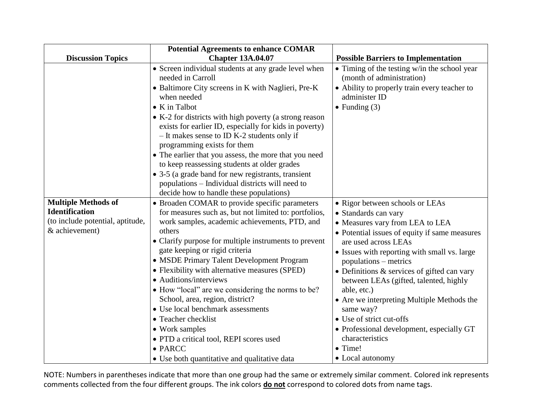|                                  | <b>Potential Agreements to enhance COMAR</b>                                                                                                                                                                                                                                                                                                                                                                                                                                                                                                                                                                                           |                                                                                                                                                                     |
|----------------------------------|----------------------------------------------------------------------------------------------------------------------------------------------------------------------------------------------------------------------------------------------------------------------------------------------------------------------------------------------------------------------------------------------------------------------------------------------------------------------------------------------------------------------------------------------------------------------------------------------------------------------------------------|---------------------------------------------------------------------------------------------------------------------------------------------------------------------|
| <b>Discussion Topics</b>         | <b>Chapter 13A.04.07</b>                                                                                                                                                                                                                                                                                                                                                                                                                                                                                                                                                                                                               | <b>Possible Barriers to Implementation</b>                                                                                                                          |
|                                  | • Screen individual students at any grade level when<br>needed in Carroll<br>• Baltimore City screens in K with Naglieri, Pre-K<br>when needed<br>$\bullet$ K in Talbot<br>• K-2 for districts with high poverty (a strong reason<br>exists for earlier ID, especially for kids in poverty)<br>- It makes sense to ID K-2 students only if<br>programming exists for them<br>• The earlier that you assess, the more that you need<br>to keep reassessing students at older grades<br>• 3-5 (a grade band for new registrants, transient<br>populations - Individual districts will need to<br>decide how to handle these populations) | • Timing of the testing w/in the school year<br>(month of administration)<br>• Ability to properly train every teacher to<br>administer ID<br>$\bullet$ Funding (3) |
| <b>Multiple Methods of</b>       | • Broaden COMAR to provide specific parameters                                                                                                                                                                                                                                                                                                                                                                                                                                                                                                                                                                                         | • Rigor between schools or LEAs                                                                                                                                     |
| <b>Identification</b>            | for measures such as, but not limited to: portfolios,                                                                                                                                                                                                                                                                                                                                                                                                                                                                                                                                                                                  | • Standards can vary                                                                                                                                                |
| (to include potential, aptitude, | work samples, academic achievements, PTD, and                                                                                                                                                                                                                                                                                                                                                                                                                                                                                                                                                                                          | • Measures vary from LEA to LEA                                                                                                                                     |
| & achievement)                   | others                                                                                                                                                                                                                                                                                                                                                                                                                                                                                                                                                                                                                                 | • Potential issues of equity if same measures                                                                                                                       |
|                                  | • Clarify purpose for multiple instruments to prevent                                                                                                                                                                                                                                                                                                                                                                                                                                                                                                                                                                                  | are used across LEAs                                                                                                                                                |
|                                  | gate keeping or rigid criteria                                                                                                                                                                                                                                                                                                                                                                                                                                                                                                                                                                                                         | • Issues with reporting with small vs. large                                                                                                                        |
|                                  | • MSDE Primary Talent Development Program                                                                                                                                                                                                                                                                                                                                                                                                                                                                                                                                                                                              | populations – metrics                                                                                                                                               |
|                                  | • Flexibility with alternative measures (SPED)                                                                                                                                                                                                                                                                                                                                                                                                                                                                                                                                                                                         | • Definitions & services of gifted can vary                                                                                                                         |
|                                  | • Auditions/interviews                                                                                                                                                                                                                                                                                                                                                                                                                                                                                                                                                                                                                 | between LEAs (gifted, talented, highly                                                                                                                              |
|                                  | • How "local" are we considering the norms to be?                                                                                                                                                                                                                                                                                                                                                                                                                                                                                                                                                                                      | able, etc.)                                                                                                                                                         |
|                                  | School, area, region, district?<br>• Use local benchmark assessments                                                                                                                                                                                                                                                                                                                                                                                                                                                                                                                                                                   | • Are we interpreting Multiple Methods the<br>same way?                                                                                                             |
|                                  | • Teacher checklist                                                                                                                                                                                                                                                                                                                                                                                                                                                                                                                                                                                                                    | • Use of strict cut-offs                                                                                                                                            |
|                                  | • Work samples                                                                                                                                                                                                                                                                                                                                                                                                                                                                                                                                                                                                                         | • Professional development, especially GT                                                                                                                           |
|                                  | · PTD a critical tool, REPI scores used                                                                                                                                                                                                                                                                                                                                                                                                                                                                                                                                                                                                | characteristics                                                                                                                                                     |
|                                  | $\bullet$ PARCC                                                                                                                                                                                                                                                                                                                                                                                                                                                                                                                                                                                                                        | $\bullet$ Time!                                                                                                                                                     |
|                                  | • Use both quantitative and qualitative data                                                                                                                                                                                                                                                                                                                                                                                                                                                                                                                                                                                           | • Local autonomy                                                                                                                                                    |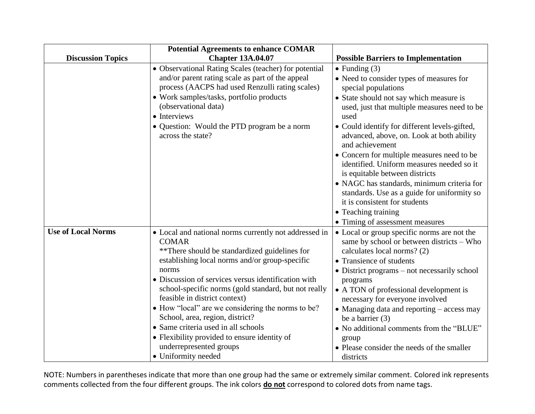|                           | <b>Potential Agreements to enhance COMAR</b>                                                                                                                                                                                                                                                                                                                                                                                                                                                                                                                       |                                                                                                                                                                                                                                                                                                                                                                                                                                                                                                                                                                                                                                   |
|---------------------------|--------------------------------------------------------------------------------------------------------------------------------------------------------------------------------------------------------------------------------------------------------------------------------------------------------------------------------------------------------------------------------------------------------------------------------------------------------------------------------------------------------------------------------------------------------------------|-----------------------------------------------------------------------------------------------------------------------------------------------------------------------------------------------------------------------------------------------------------------------------------------------------------------------------------------------------------------------------------------------------------------------------------------------------------------------------------------------------------------------------------------------------------------------------------------------------------------------------------|
| <b>Discussion Topics</b>  | <b>Chapter 13A.04.07</b>                                                                                                                                                                                                                                                                                                                                                                                                                                                                                                                                           | <b>Possible Barriers to Implementation</b>                                                                                                                                                                                                                                                                                                                                                                                                                                                                                                                                                                                        |
|                           | • Observational Rating Scales (teacher) for potential<br>and/or parent rating scale as part of the appeal<br>process (AACPS had used Renzulli rating scales)<br>• Work samples/tasks, portfolio products<br>(observational data)<br>• Interviews<br>• Question: Would the PTD program be a norm<br>across the state?                                                                                                                                                                                                                                               | $\bullet$ Funding (3)<br>• Need to consider types of measures for<br>special populations<br>• State should not say which measure is<br>used, just that multiple measures need to be<br>used<br>• Could identify for different levels-gifted,<br>advanced, above, on. Look at both ability<br>and achievement<br>• Concern for multiple measures need to be<br>identified. Uniform measures needed so it<br>is equitable between districts<br>· NAGC has standards, minimum criteria for<br>standards. Use as a guide for uniformity so<br>it is consistent for students<br>• Teaching training<br>• Timing of assessment measures |
| <b>Use of Local Norms</b> | • Local and national norms currently not addressed in<br><b>COMAR</b><br>**There should be standardized guidelines for<br>establishing local norms and/or group-specific<br>norms<br>• Discussion of services versus identification with<br>school-specific norms (gold standard, but not really<br>feasible in district context)<br>• How "local" are we considering the norms to be?<br>School, area, region, district?<br>• Same criteria used in all schools<br>• Flexibility provided to ensure identity of<br>underrepresented groups<br>• Uniformity needed | • Local or group specific norms are not the<br>same by school or between districts - Who<br>calculates local norms? (2)<br>• Transience of students<br>• District programs – not necessarily school<br>programs<br>• A TON of professional development is<br>necessary for everyone involved<br>• Managing data and reporting – access may<br>be a barrier $(3)$<br>• No additional comments from the "BLUE"<br>group<br>• Please consider the needs of the smaller<br>districts                                                                                                                                                  |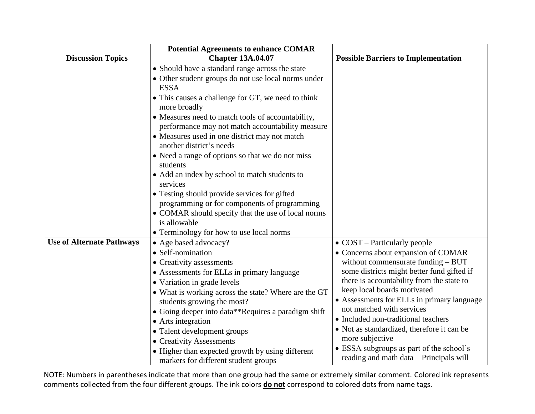|                                  | <b>Potential Agreements to enhance COMAR</b>                                                                                                                                                                                                                                                                                                                                                                                                                                                                                                                                                                                                                                                                                     |                                                                                                                                                                                                                                                                                                                                                                                                                                                                                                                         |
|----------------------------------|----------------------------------------------------------------------------------------------------------------------------------------------------------------------------------------------------------------------------------------------------------------------------------------------------------------------------------------------------------------------------------------------------------------------------------------------------------------------------------------------------------------------------------------------------------------------------------------------------------------------------------------------------------------------------------------------------------------------------------|-------------------------------------------------------------------------------------------------------------------------------------------------------------------------------------------------------------------------------------------------------------------------------------------------------------------------------------------------------------------------------------------------------------------------------------------------------------------------------------------------------------------------|
| <b>Discussion Topics</b>         | <b>Chapter 13A.04.07</b>                                                                                                                                                                                                                                                                                                                                                                                                                                                                                                                                                                                                                                                                                                         | <b>Possible Barriers to Implementation</b>                                                                                                                                                                                                                                                                                                                                                                                                                                                                              |
|                                  | • Should have a standard range across the state<br>• Other student groups do not use local norms under<br><b>ESSA</b><br>• This causes a challenge for GT, we need to think<br>more broadly<br>• Measures need to match tools of accountability,<br>performance may not match accountability measure<br>• Measures used in one district may not match<br>another district's needs<br>• Need a range of options so that we do not miss<br>students<br>• Add an index by school to match students to<br>services<br>• Testing should provide services for gifted<br>programming or for components of programming<br>• COMAR should specify that the use of local norms<br>is allowable<br>• Terminology for how to use local norms |                                                                                                                                                                                                                                                                                                                                                                                                                                                                                                                         |
| <b>Use of Alternate Pathways</b> | • Age based advocacy?<br>• Self-nomination<br>• Creativity assessments<br>• Assessments for ELLs in primary language<br>• Variation in grade levels<br>• What is working across the state? Where are the GT<br>students growing the most?<br>• Going deeper into data**Requires a paradigm shift<br>• Arts integration<br>• Talent development groups<br>• Creativity Assessments<br>• Higher than expected growth by using different<br>markers for different student groups                                                                                                                                                                                                                                                    | $\bullet$ COST – Particularly people<br>• Concerns about expansion of COMAR<br>without commensurate funding $-$ BUT<br>some districts might better fund gifted if<br>there is accountability from the state to<br>keep local boards motivated<br>• Assessments for ELLs in primary language<br>not matched with services<br>• Included non-traditional teachers<br>• Not as standardized, therefore it can be<br>more subjective<br>• ESSA subgroups as part of the school's<br>reading and math data - Principals will |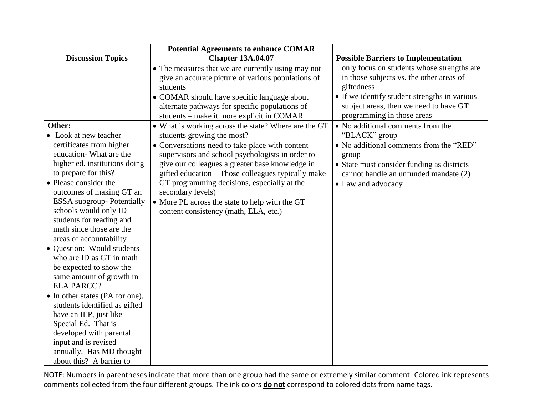|                                                                                                                                                                                                                                                                                     | <b>Potential Agreements to enhance COMAR</b>                                                                                                                                                                                                                                                                                                                                                                                                                      |                                                                                                                                                                                                                               |
|-------------------------------------------------------------------------------------------------------------------------------------------------------------------------------------------------------------------------------------------------------------------------------------|-------------------------------------------------------------------------------------------------------------------------------------------------------------------------------------------------------------------------------------------------------------------------------------------------------------------------------------------------------------------------------------------------------------------------------------------------------------------|-------------------------------------------------------------------------------------------------------------------------------------------------------------------------------------------------------------------------------|
| <b>Discussion Topics</b>                                                                                                                                                                                                                                                            | <b>Chapter 13A.04.07</b>                                                                                                                                                                                                                                                                                                                                                                                                                                          | <b>Possible Barriers to Implementation</b>                                                                                                                                                                                    |
|                                                                                                                                                                                                                                                                                     | • The measures that we are currently using may not<br>give an accurate picture of various populations of<br>students<br>• COMAR should have specific language about<br>alternate pathways for specific populations of<br>students – make it more explicit in COMAR                                                                                                                                                                                                | only focus on students whose strengths are<br>in those subjects vs. the other areas of<br>giftedness<br>• If we identify student strengths in various<br>subject areas, then we need to have GT<br>programming in those areas |
| • Look at new teacher<br>certificates from higher<br>education-What are the<br>higher ed. institutions doing<br>to prepare for this?<br>• Please consider the<br>outcomes of making GT an<br><b>ESSA</b> subgroup- Potentially<br>schools would only ID<br>students for reading and | • What is working across the state? Where are the GT<br>students growing the most?<br>• Conversations need to take place with content<br>supervisors and school psychologists in order to<br>give our colleagues a greater base knowledge in<br>gifted education - Those colleagues typically make<br>GT programming decisions, especially at the<br>secondary levels)<br>• More PL across the state to help with the GT<br>content consistency (math, ELA, etc.) | • No additional comments from the<br>"BLACK" group<br>• No additional comments from the "RED"<br>group<br>• State must consider funding as districts<br>cannot handle an unfunded mandate (2)<br>• Law and advocacy           |
| math since those are the<br>areas of accountability<br>• Question: Would students<br>who are ID as GT in math<br>be expected to show the<br>same amount of growth in<br><b>ELA PARCC?</b><br>• In other states (PA for one),                                                        |                                                                                                                                                                                                                                                                                                                                                                                                                                                                   |                                                                                                                                                                                                                               |
| students identified as gifted<br>have an IEP, just like<br>Special Ed. That is<br>developed with parental<br>input and is revised<br>annually. Has MD thought<br>about this? A barrier to                                                                                           |                                                                                                                                                                                                                                                                                                                                                                                                                                                                   |                                                                                                                                                                                                                               |